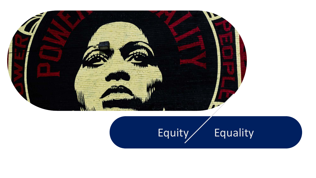

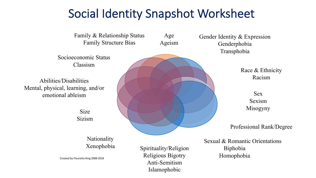## Social Identity Snapshot Worksheet

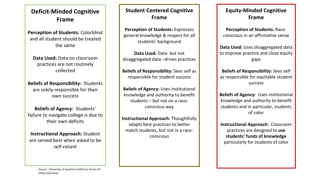### **Deficit-Minded Cognitive Frame**

**Perception of Students:** Colorblind and all student should be treated the same

**Data Used:** Data on classroom practices are not routinely collected

**Beliefs of Responsibility:** Students are solely responsible for their own success

**Beliefs of Agency:** Students' failure to navigate college is due to their own deficits

**Instructional Approach:** Student are served best when asked to be self-reliant

#### **Student Centered Cognitive Frame**

**Perception of Students:** Expresses general knowledge & respect for all students' background

**Data Used:** Data- but not disaggregated data –drives practices

**Beliefs of Responsibility:** Sees self as responsible for student success

**Beliefs of Agency:** Uses institutional knowledge and authority to benefit students – but not on a raceconscious way

**Instructional Approach:** Thoughtfully adapts best practices to better match students, but not in a raceconscious

### **Equity-Minded Cognitive Frame**

**Perception of Students:** Raceconscious in an affirmative sense

**Data Used:** Uses disaggregated data to improve practice and close equity gaps

**Beliefs of Responsibility:** Sees self as responsible for equitable student success

**Beliefs of Agency:** Uses institutional knowledge and authority to benefit students and in particular, students of color

**Instructional Approach:** Classroom practices are designed to **use students' funds of knowledge**  particularly for students of color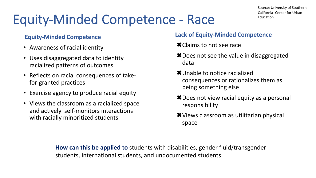# Equity-Minded Competence - Race

### **Equity-Minded Competence**

- Awareness of racial identity
- Uses disaggregated data to identity racialized patterns of outcomes
- Reflects on racial consequences of takefor-granted practices
- Exercise agency to produce racial equity
- Views the classroom as a racialized space and actively self-monitors interactions with racially minoritized students

### **Lack of Equity-Minded Competence**

- **\*** Claims to not see race
- $*$  Does not see the value in disaggregated data
- **\*** Unable to notice racialized consequences or rationalizes them as being something else
- $*$  Does not view racial equity as a personal responsibility
- **\*** Views classroom as utilitarian physical space

**How can this be applied to** students with disabilities, gender fluid/transgender students, international students, and undocumented students

Source: University of Southern California- Center for Urban Education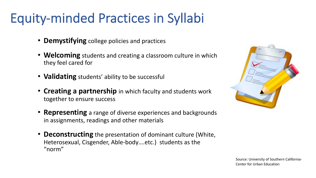# Equity-minded Practices in Syllabi

- **Demystifying** college policies and practices
- **Welcoming** students and creating a classroom culture in which they feel cared for
- **Validating** students' ability to be successful
- **Creating a partnership** in which faculty and students work together to ensure success
- **Representing** a range of diverse experiences and backgrounds in assignments, readings and other materials
- **Deconstructing** the presentation of dominant culture (White, Heterosexual, Cisgender, Able-body….etc.) students as the "norm"



Source: University of Southern California-Center for Urban Education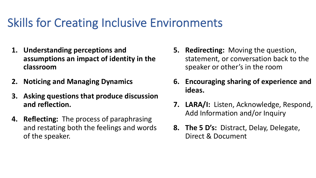## Skills for Creating Inclusive Environments

- **1. Understanding perceptions and assumptions an impact of identity in the classroom**
- **2. Noticing and Managing Dynamics**
- **3. Asking questions that produce discussion and reflection.**
- **4. Reflecting:** The process of paraphrasing and restating both the feelings and words of the speaker.
- **5. Redirecting:** Moving the question, statement, or conversation back to the speaker or other's in the room
- **6. Encouraging sharing of experience and ideas.**
- **7. LARA/I:** Listen, Acknowledge, Respond, Add Information and/or Inquiry
- **8. The 5 D's:** Distract, Delay, Delegate, Direct & Document